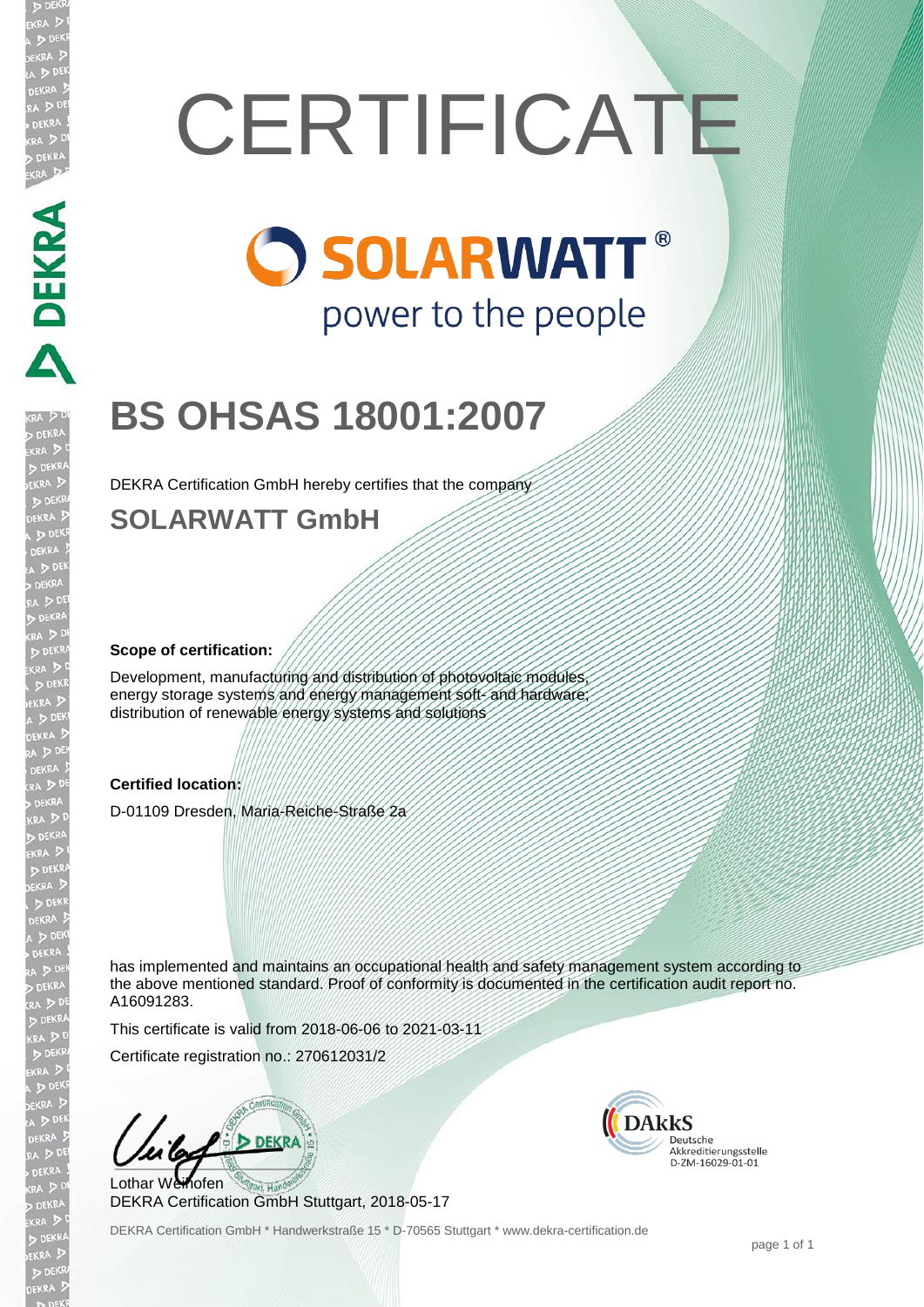# **CERTIFICATE**

# **O SOLARWATT®** power to the people

# **BS OHSAS 18001:2007**

DEKRA Certification GmbH hereby certifies that the company

## **SOLARWATT GmbH**

### **Scope of certification:**

**DEKRA** 

Development, manufacturing and distribution of photovoltaic modules energy storage systems and energy management soft- and hardware distribution of renewable energy systems and solutions

### **Certified location:**

D-01109 Dresden, Maria-Reiche-Straße 2a

has implemented and maintains an occupational health and safety management system according to the above mentioned standard. Proof of conformity is documented in the certification audit report no. A16091283.

This certificate is valid from 2018-06-06 to 2021-03-11

Certificate registration no.: 270612031/2

**DEKRA** Lothar Weihofen

DEKRA Certification GmbH Stuttgart, 2018-05-17